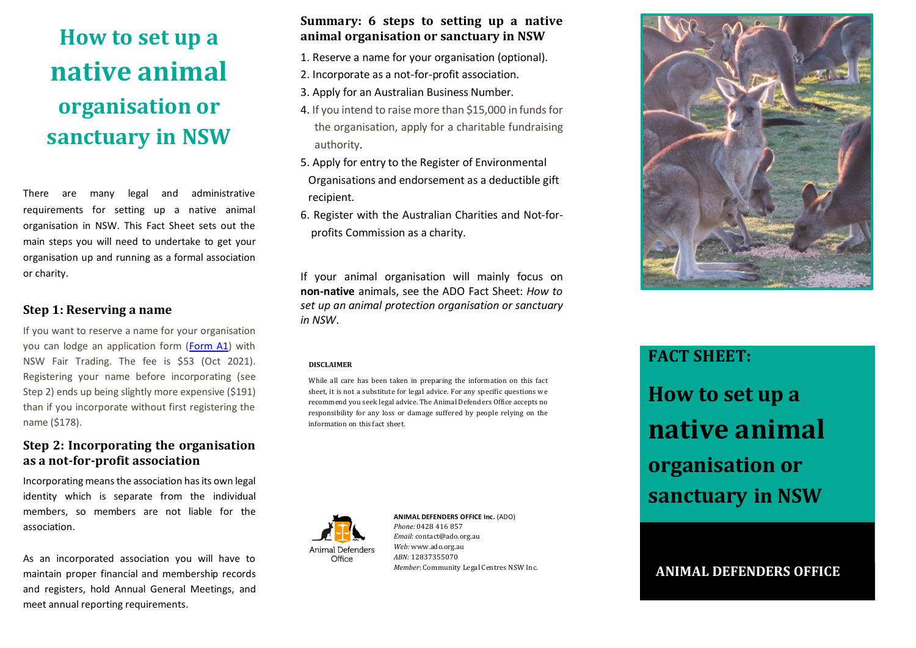**How to set up a native animal organisation or sanctuary in NSW**

There are many legal and administrative requirements for setting up a native animal organisation in NSW. This Fact Sheet sets out the main steps you will need to undertake to get your organisation up and running as a formal association or charity.

#### **Step 1: Reserving a name**

If you want to reserve a name for your organisation you can lodge an application form (Form A1) with NSW Fair Trading. The fee is \$53 (Oct 2021). Registering your name before incorporating (see Step 2) ends up being slightly more expensive (\$191) than if you incorporate without first registering the name (\$178).

# **Step 2: Incorporating the organisation as a not-for-profit association**

Incorporating means the association has its own legal identity which is separate from the individual members, so members are not liable for the association.

As an incorporated association you will have to maintain proper financial and membership records and registers, hold Annual General Meetings, and meet annual reporting requirements.

#### **Summary: 6 steps to setting up a native animal organisation or sanctuary in NSW**

- 1. Reserve a name for your organisation (optional).
- 2. Incorporate as a not-for-profit association.
- 3. Apply for an Australian Business Number.
- 4. If you intend to raise more than \$15,000 in funds for the organisation, apply for a charitable fundraising authority.
- 5. Apply for entry to the Register of Environmental Organisations and endorsement as a deductible gift recipient.
- 6. Register with the Australian Charities and Not-forprofits Commission as a charity.

If your animal organisation will mainly focus on **non-native** animals, see the ADO Fact Sheet: *How to set up an animal protection organisation or sanctuary in NSW*.

#### **DISCLAIMER**

While all care has been taken in preparing the information on this fact sheet, it is not a substitute for legal advice. For any specific questions we recommend you seek legal advice. The Animal Defenders Office accepts no responsibility for any loss or damage suffered by people relying on the information on this fact sheet.



Office

**ANIMAL DEFENDERS OFFICE Inc.** (ADO) *Phone:* 0428 416 857 *Email:* contact@ado.org.au *Web:* www.ado.org.au *ABN:* 12837355070 *Member*: Community Legal Centres NSW Inc.



**FACT SHEET: How to set up a native animal organisation or sanctuary in NSW**

**ANIMAL DEFENDERS OFFICE**